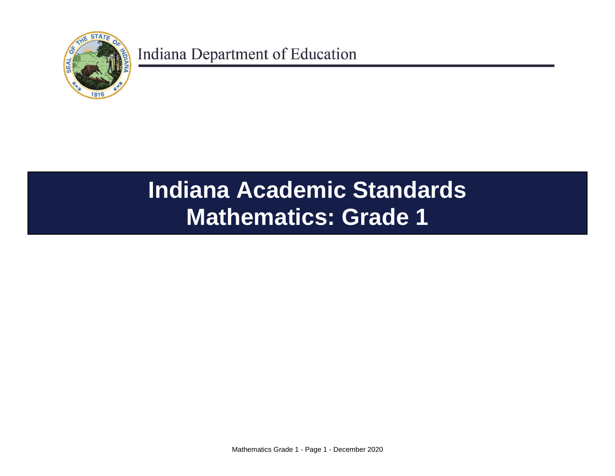

# **Indiana Academic Standards Mathematics: Grade 1**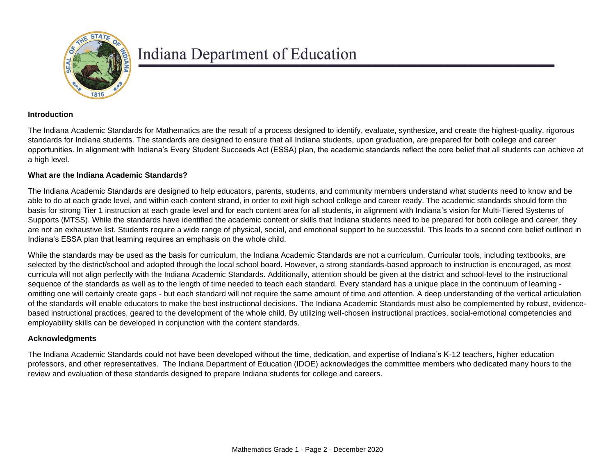

#### **Introduction**

The Indiana Academic Standards for Mathematics are the result of a process designed to identify, evaluate, synthesize, and create the highest-quality, rigorous standards for Indiana students. The standards are designed to ensure that all Indiana students, upon graduation, are prepared for both college and career opportunities. In alignment with Indiana's Every Student Succeeds Act (ESSA) plan, the academic standards reflect the core belief that all students can achieve at a high level.

#### **What are the Indiana Academic Standards?**

The Indiana Academic Standards are designed to help educators, parents, students, and community members understand what students need to know and be able to do at each grade level, and within each content strand, in order to exit high school college and career ready. The academic standards should form the basis for strong Tier 1 instruction at each grade level and for each content area for all students, in alignment with Indiana's vision for Multi-Tiered Systems of Supports (MTSS). While the standards have identified the academic content or skills that Indiana students need to be prepared for both college and career, they are not an exhaustive list. Students require a wide range of physical, social, and emotional support to be successful. This leads to a second core belief outlined in Indiana's ESSA plan that learning requires an emphasis on the whole child.

While the standards may be used as the basis for curriculum, the Indiana Academic Standards are not a curriculum. Curricular tools, including textbooks, are selected by the district/school and adopted through the local school board. However, a strong standards-based approach to instruction is encouraged, as most curricula will not align perfectly with the Indiana Academic Standards. Additionally, attention should be given at the district and school-level to the instructional sequence of the standards as well as to the length of time needed to teach each standard. Every standard has a unique place in the continuum of learning omitting one will certainly create gaps - but each standard will not require the same amount of time and attention. A deep understanding of the vertical articulation of the standards will enable educators to make the best instructional decisions. The Indiana Academic Standards must also be complemented by robust, evidencebased instructional practices, geared to the development of the whole child. By utilizing well-chosen instructional practices, social-emotional competencies and employability skills can be developed in conjunction with the content standards.

#### **Acknowledgments**

The Indiana Academic Standards could not have been developed without the time, dedication, and expertise of Indiana's K-12 teachers, higher education professors, and other representatives. The Indiana Department of Education (IDOE) acknowledges the committee members who dedicated many hours to the review and evaluation of these standards designed to prepare Indiana students for college and careers.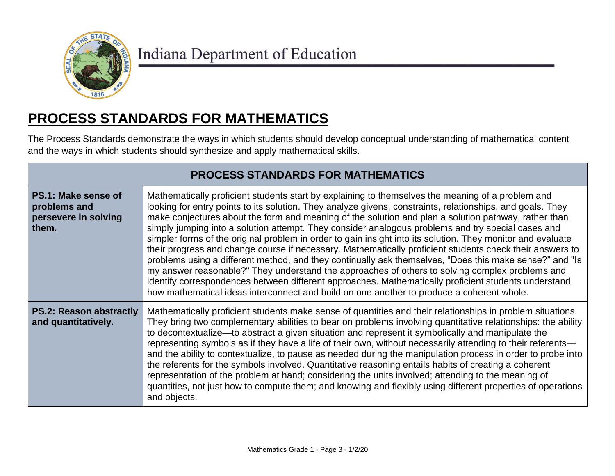

### **PROCESS STANDARDS FOR MATHEMATICS**

The Process Standards demonstrate the ways in which students should develop conceptual understanding of mathematical content and the ways in which students should synthesize and apply mathematical skills.

| <b>PROCESS STANDARDS FOR MATHEMATICS</b>                             |                                                                                                                                                                                                                                                                                                                                                                                                                                                                                                                                                                                                                                                                                                                                                                                                                                                                                                                                                                                                                                                                             |
|----------------------------------------------------------------------|-----------------------------------------------------------------------------------------------------------------------------------------------------------------------------------------------------------------------------------------------------------------------------------------------------------------------------------------------------------------------------------------------------------------------------------------------------------------------------------------------------------------------------------------------------------------------------------------------------------------------------------------------------------------------------------------------------------------------------------------------------------------------------------------------------------------------------------------------------------------------------------------------------------------------------------------------------------------------------------------------------------------------------------------------------------------------------|
| PS.1: Make sense of<br>problems and<br>persevere in solving<br>them. | Mathematically proficient students start by explaining to themselves the meaning of a problem and<br>looking for entry points to its solution. They analyze givens, constraints, relationships, and goals. They<br>make conjectures about the form and meaning of the solution and plan a solution pathway, rather than<br>simply jumping into a solution attempt. They consider analogous problems and try special cases and<br>simpler forms of the original problem in order to gain insight into its solution. They monitor and evaluate<br>their progress and change course if necessary. Mathematically proficient students check their answers to<br>problems using a different method, and they continually ask themselves, "Does this make sense?" and "Is<br>my answer reasonable?" They understand the approaches of others to solving complex problems and<br>identify correspondences between different approaches. Mathematically proficient students understand<br>how mathematical ideas interconnect and build on one another to produce a coherent whole. |
| <b>PS.2: Reason abstractly</b><br>and quantitatively.                | Mathematically proficient students make sense of quantities and their relationships in problem situations.<br>They bring two complementary abilities to bear on problems involving quantitative relationships: the ability<br>to decontextualize—to abstract a given situation and represent it symbolically and manipulate the<br>representing symbols as if they have a life of their own, without necessarily attending to their referents—<br>and the ability to contextualize, to pause as needed during the manipulation process in order to probe into<br>the referents for the symbols involved. Quantitative reasoning entails habits of creating a coherent<br>representation of the problem at hand; considering the units involved; attending to the meaning of<br>quantities, not just how to compute them; and knowing and flexibly using different properties of operations<br>and objects.                                                                                                                                                                  |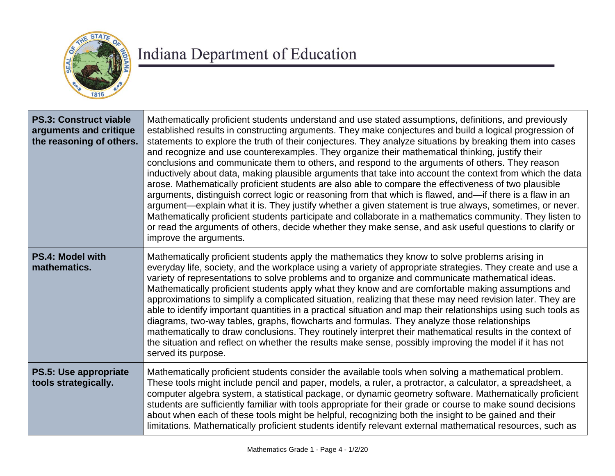

| <b>PS.3: Construct viable</b><br>arguments and critique<br>the reasoning of others. | Mathematically proficient students understand and use stated assumptions, definitions, and previously<br>established results in constructing arguments. They make conjectures and build a logical progression of<br>statements to explore the truth of their conjectures. They analyze situations by breaking them into cases<br>and recognize and use counterexamples. They organize their mathematical thinking, justify their<br>conclusions and communicate them to others, and respond to the arguments of others. They reason<br>inductively about data, making plausible arguments that take into account the context from which the data<br>arose. Mathematically proficient students are also able to compare the effectiveness of two plausible<br>arguments, distinguish correct logic or reasoning from that which is flawed, and—if there is a flaw in an<br>argument—explain what it is. They justify whether a given statement is true always, sometimes, or never.<br>Mathematically proficient students participate and collaborate in a mathematics community. They listen to<br>or read the arguments of others, decide whether they make sense, and ask useful questions to clarify or<br>improve the arguments. |
|-------------------------------------------------------------------------------------|--------------------------------------------------------------------------------------------------------------------------------------------------------------------------------------------------------------------------------------------------------------------------------------------------------------------------------------------------------------------------------------------------------------------------------------------------------------------------------------------------------------------------------------------------------------------------------------------------------------------------------------------------------------------------------------------------------------------------------------------------------------------------------------------------------------------------------------------------------------------------------------------------------------------------------------------------------------------------------------------------------------------------------------------------------------------------------------------------------------------------------------------------------------------------------------------------------------------------------------|
| <b>PS.4: Model with</b><br>mathematics.                                             | Mathematically proficient students apply the mathematics they know to solve problems arising in<br>everyday life, society, and the workplace using a variety of appropriate strategies. They create and use a<br>variety of representations to solve problems and to organize and communicate mathematical ideas.<br>Mathematically proficient students apply what they know and are comfortable making assumptions and<br>approximations to simplify a complicated situation, realizing that these may need revision later. They are<br>able to identify important quantities in a practical situation and map their relationships using such tools as<br>diagrams, two-way tables, graphs, flowcharts and formulas. They analyze those relationships<br>mathematically to draw conclusions. They routinely interpret their mathematical results in the context of<br>the situation and reflect on whether the results make sense, possibly improving the model if it has not<br>served its purpose.                                                                                                                                                                                                                                |
| PS.5: Use appropriate<br>tools strategically.                                       | Mathematically proficient students consider the available tools when solving a mathematical problem.<br>These tools might include pencil and paper, models, a ruler, a protractor, a calculator, a spreadsheet, a<br>computer algebra system, a statistical package, or dynamic geometry software. Mathematically proficient<br>students are sufficiently familiar with tools appropriate for their grade or course to make sound decisions<br>about when each of these tools might be helpful, recognizing both the insight to be gained and their<br>limitations. Mathematically proficient students identify relevant external mathematical resources, such as                                                                                                                                                                                                                                                                                                                                                                                                                                                                                                                                                                    |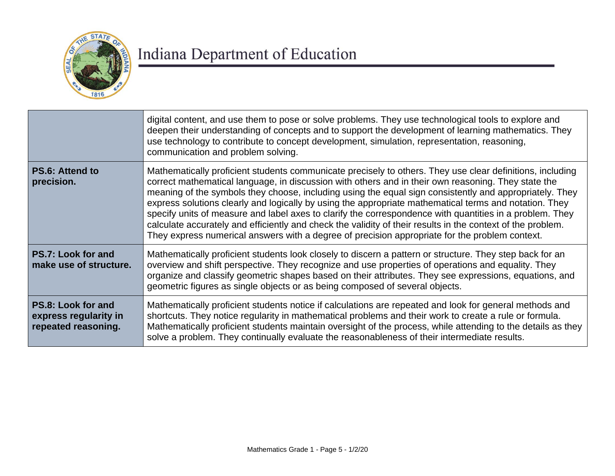

|                                                                    | digital content, and use them to pose or solve problems. They use technological tools to explore and<br>deepen their understanding of concepts and to support the development of learning mathematics. They<br>use technology to contribute to concept development, simulation, representation, reasoning,<br>communication and problem solving.                                                                                                                                                                                                                                                                                                                                                                                                                   |  |
|--------------------------------------------------------------------|--------------------------------------------------------------------------------------------------------------------------------------------------------------------------------------------------------------------------------------------------------------------------------------------------------------------------------------------------------------------------------------------------------------------------------------------------------------------------------------------------------------------------------------------------------------------------------------------------------------------------------------------------------------------------------------------------------------------------------------------------------------------|--|
| <b>PS.6: Attend to</b><br>precision.                               | Mathematically proficient students communicate precisely to others. They use clear definitions, including<br>correct mathematical language, in discussion with others and in their own reasoning. They state the<br>meaning of the symbols they choose, including using the equal sign consistently and appropriately. They<br>express solutions clearly and logically by using the appropriate mathematical terms and notation. They<br>specify units of measure and label axes to clarify the correspondence with quantities in a problem. They<br>calculate accurately and efficiently and check the validity of their results in the context of the problem.<br>They express numerical answers with a degree of precision appropriate for the problem context. |  |
| PS.7: Look for and<br>make use of structure.                       | Mathematically proficient students look closely to discern a pattern or structure. They step back for an<br>overview and shift perspective. They recognize and use properties of operations and equality. They<br>organize and classify geometric shapes based on their attributes. They see expressions, equations, and<br>geometric figures as single objects or as being composed of several objects.                                                                                                                                                                                                                                                                                                                                                           |  |
| PS.8: Look for and<br>express regularity in<br>repeated reasoning. | Mathematically proficient students notice if calculations are repeated and look for general methods and<br>shortcuts. They notice regularity in mathematical problems and their work to create a rule or formula.<br>Mathematically proficient students maintain oversight of the process, while attending to the details as they<br>solve a problem. They continually evaluate the reasonableness of their intermediate results.                                                                                                                                                                                                                                                                                                                                  |  |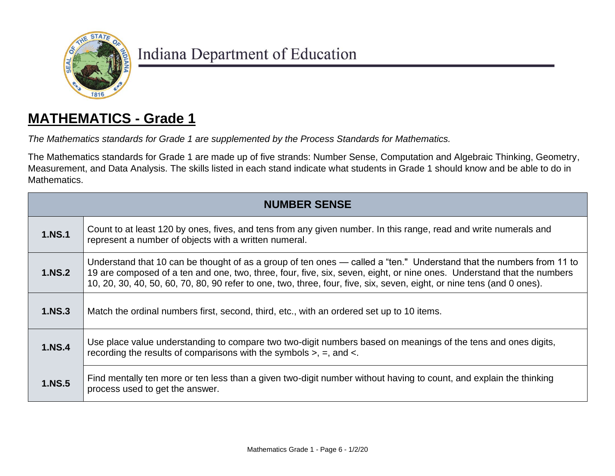

### **MATHEMATICS - Grade 1**

*The Mathematics standards for Grade 1 are supplemented by the Process Standards for Mathematics.*

The Mathematics standards for Grade 1 are made up of five strands: Number Sense, Computation and Algebraic Thinking, Geometry, Measurement, and Data Analysis. The skills listed in each stand indicate what students in Grade 1 should know and be able to do in Mathematics.

| <b>NUMBER SENSE</b> |                                                                                                                                                                                                                                                                                                                                                                          |
|---------------------|--------------------------------------------------------------------------------------------------------------------------------------------------------------------------------------------------------------------------------------------------------------------------------------------------------------------------------------------------------------------------|
| <b>1.NS.1</b>       | Count to at least 120 by ones, fives, and tens from any given number. In this range, read and write numerals and<br>represent a number of objects with a written numeral.                                                                                                                                                                                                |
| <b>1.NS.2</b>       | Understand that 10 can be thought of as a group of ten ones — called a "ten." Understand that the numbers from 11 to<br>19 are composed of a ten and one, two, three, four, five, six, seven, eight, or nine ones. Understand that the numbers<br>10, 20, 30, 40, 50, 60, 70, 80, 90 refer to one, two, three, four, five, six, seven, eight, or nine tens (and 0 ones). |
| <b>1.NS.3</b>       | Match the ordinal numbers first, second, third, etc., with an ordered set up to 10 items.                                                                                                                                                                                                                                                                                |
| <b>1.NS.4</b>       | Use place value understanding to compare two two-digit numbers based on meanings of the tens and ones digits,<br>recording the results of comparisons with the symbols $>$ , $=$ , and $\lt$ .                                                                                                                                                                           |
| <b>1.NS.5</b>       | Find mentally ten more or ten less than a given two-digit number without having to count, and explain the thinking<br>process used to get the answer.                                                                                                                                                                                                                    |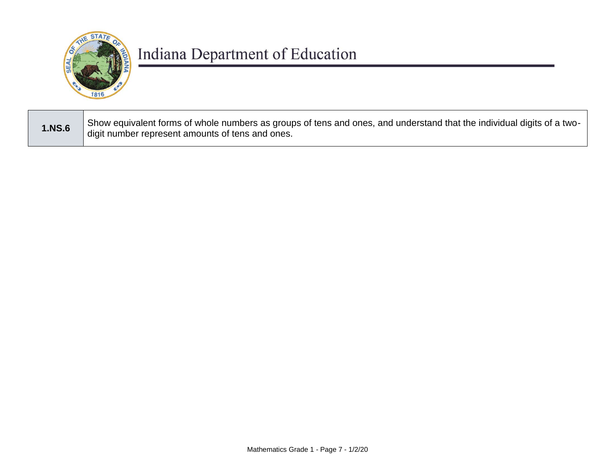

| <b>1.NS.6</b> | Show equivalent forms of whole numbers as groups of tens and ones, and understand that the individual digits of a two-<br>digit number represent amounts of tens and ones. |
|---------------|----------------------------------------------------------------------------------------------------------------------------------------------------------------------------|
|---------------|----------------------------------------------------------------------------------------------------------------------------------------------------------------------------|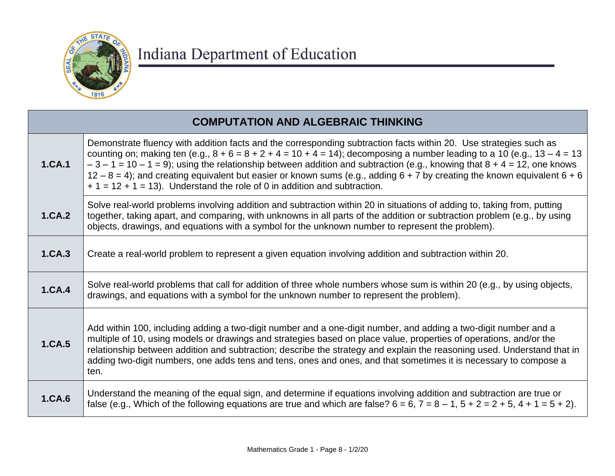

### **COMPUTATION AND ALGEBRAIC THINKING**

| <b>1.CA.1</b> | Demonstrate fluency with addition facts and the corresponding subtraction facts within 20. Use strategies such as<br>counting on; making ten (e.g., $8 + 6 = 8 + 2 + 4 = 10 + 4 = 14$ ); decomposing a number leading to a 10 (e.g., 13 – 4 = 13<br>$-3-1=10-1=9$ ; using the relationship between addition and subtraction (e.g., knowing that $8 + 4 = 12$ , one knows<br>$12-8=4$ ; and creating equivalent but easier or known sums (e.g., adding 6 + 7 by creating the known equivalent 6 + 6<br>$+ 1 = 12 + 1 = 13$ ). Understand the role of 0 in addition and subtraction. |
|---------------|------------------------------------------------------------------------------------------------------------------------------------------------------------------------------------------------------------------------------------------------------------------------------------------------------------------------------------------------------------------------------------------------------------------------------------------------------------------------------------------------------------------------------------------------------------------------------------|
| 1.CA.2        | Solve real-world problems involving addition and subtraction within 20 in situations of adding to, taking from, putting<br>together, taking apart, and comparing, with unknowns in all parts of the addition or subtraction problem (e.g., by using<br>objects, drawings, and equations with a symbol for the unknown number to represent the problem).                                                                                                                                                                                                                            |
| <b>1.CA.3</b> | Create a real-world problem to represent a given equation involving addition and subtraction within 20.                                                                                                                                                                                                                                                                                                                                                                                                                                                                            |
| <b>1.CA.4</b> | Solve real-world problems that call for addition of three whole numbers whose sum is within 20 (e.g., by using objects,<br>drawings, and equations with a symbol for the unknown number to represent the problem).                                                                                                                                                                                                                                                                                                                                                                 |
| 1.CA.5        | Add within 100, including adding a two-digit number and a one-digit number, and adding a two-digit number and a<br>multiple of 10, using models or drawings and strategies based on place value, properties of operations, and/or the<br>relationship between addition and subtraction; describe the strategy and explain the reasoning used. Understand that in<br>adding two-digit numbers, one adds tens and tens, ones and ones, and that sometimes it is necessary to compose a<br>ten.                                                                                       |
| 1.CA.6        | Understand the meaning of the equal sign, and determine if equations involving addition and subtraction are true or<br>false (e.g., Which of the following equations are true and which are false? $6 = 6$ , $7 = 8 - 1$ , $5 + 2 = 2 + 5$ , $4 + 1 = 5 + 2$ ).                                                                                                                                                                                                                                                                                                                    |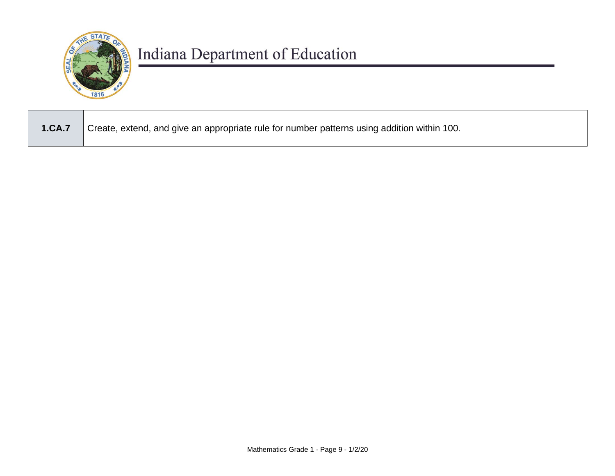

## Indiana Department of Education

|  | 1.CA.7 Create, extend, and give an appropriate rule for number patterns using addition within 100. |
|--|----------------------------------------------------------------------------------------------------|
|--|----------------------------------------------------------------------------------------------------|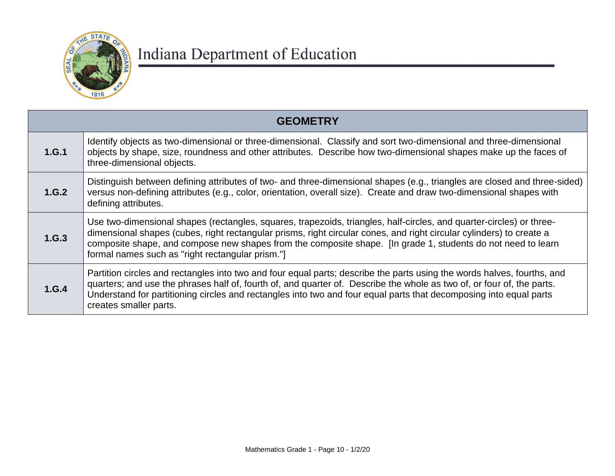

| <b>GEOMETRY</b> |                                                                                                                                                                                                                                                                                                                                                                                                                 |
|-----------------|-----------------------------------------------------------------------------------------------------------------------------------------------------------------------------------------------------------------------------------------------------------------------------------------------------------------------------------------------------------------------------------------------------------------|
| 1.G.1           | Identify objects as two-dimensional or three-dimensional. Classify and sort two-dimensional and three-dimensional<br>objects by shape, size, roundness and other attributes. Describe how two-dimensional shapes make up the faces of<br>three-dimensional objects.                                                                                                                                             |
| 1.G.2           | Distinguish between defining attributes of two- and three-dimensional shapes (e.g., triangles are closed and three-sided)<br>versus non-defining attributes (e.g., color, orientation, overall size). Create and draw two-dimensional shapes with<br>defining attributes.                                                                                                                                       |
| 1.G.3           | Use two-dimensional shapes (rectangles, squares, trapezoids, triangles, half-circles, and quarter-circles) or three-<br>dimensional shapes (cubes, right rectangular prisms, right circular cones, and right circular cylinders) to create a<br>composite shape, and compose new shapes from the composite shape. [In grade 1, students do not need to learn<br>formal names such as "right rectangular prism." |
| 1.G.4           | Partition circles and rectangles into two and four equal parts; describe the parts using the words halves, fourths, and<br>quarters; and use the phrases half of, fourth of, and quarter of. Describe the whole as two of, or four of, the parts.<br>Understand for partitioning circles and rectangles into two and four equal parts that decomposing into equal parts<br>creates smaller parts.               |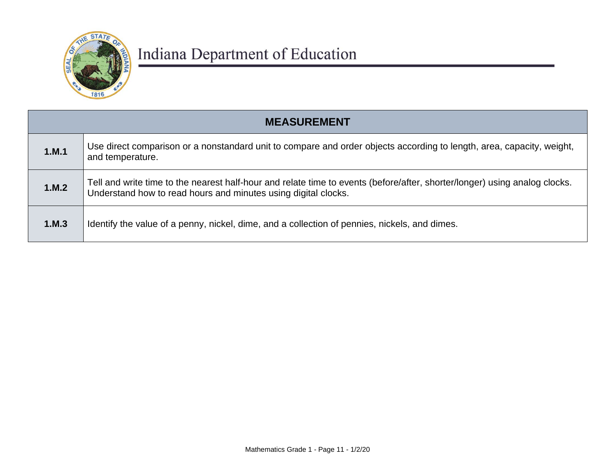

| <b>MEASUREMENT</b> |                                                                                                                                                                                              |
|--------------------|----------------------------------------------------------------------------------------------------------------------------------------------------------------------------------------------|
| 1.M.1              | Use direct comparison or a nonstandard unit to compare and order objects according to length, area, capacity, weight,<br>and temperature.                                                    |
| 1.M.2              | Tell and write time to the nearest half-hour and relate time to events (before/after, shorter/longer) using analog clocks.<br>Understand how to read hours and minutes using digital clocks. |
| 1.M.3              | Identify the value of a penny, nickel, dime, and a collection of pennies, nickels, and dimes.                                                                                                |